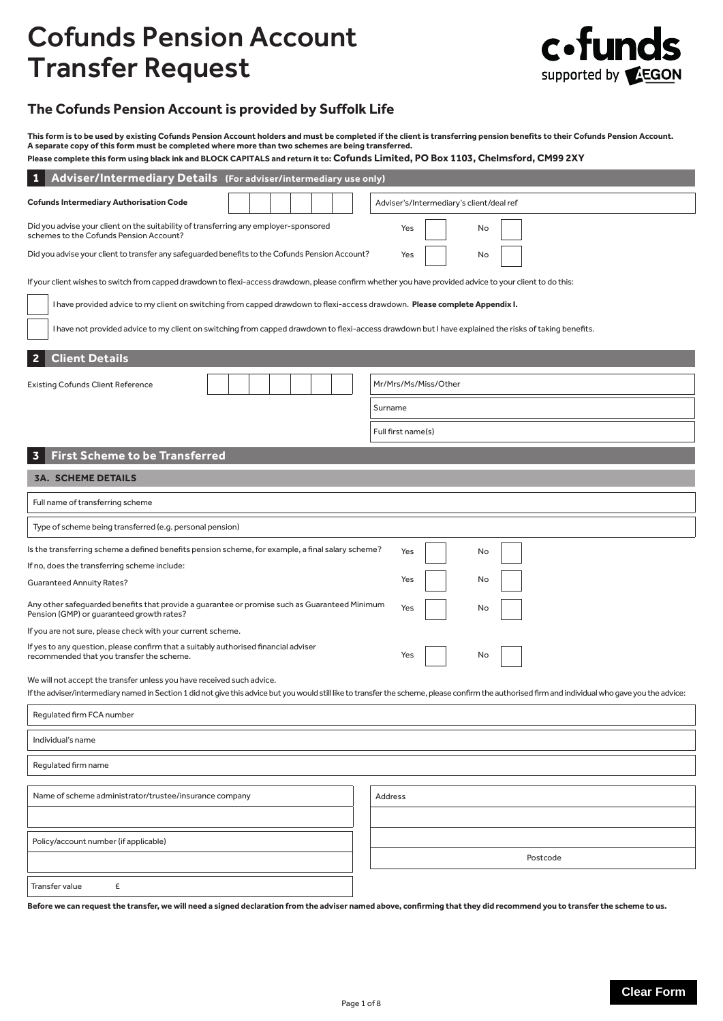# Cofunds Pension Account Transfer Request



# **The Cofunds Pension Account is provided by Suffolk Life**

**This form is to be used by existing Cofunds Pension Account holders and must be completed if the client is transferring pension benefits to their Cofunds Pension Account. A separate copy of this form must be completed where more than two schemes are being transferred.**

| Please complete this form using black ink and BLOCK CAPITALS and return it to: Cofunds Limited, PO Box 1103, Chelmsford, CM99 2XY |
|-----------------------------------------------------------------------------------------------------------------------------------|
|-----------------------------------------------------------------------------------------------------------------------------------|

| Adviser/Intermediary Details (For adviser/intermediary use only)<br>1                                                                                                                                                                                                        |  |  |                                                                                                                                                           |  |  |
|------------------------------------------------------------------------------------------------------------------------------------------------------------------------------------------------------------------------------------------------------------------------------|--|--|-----------------------------------------------------------------------------------------------------------------------------------------------------------|--|--|
| <b>Cofunds Intermediary Authorisation Code</b>                                                                                                                                                                                                                               |  |  | Adviser's/Intermediary's client/deal ref                                                                                                                  |  |  |
| Did you advise your client on the suitability of transferring any employer-sponsored<br>schemes to the Cofunds Pension Account?                                                                                                                                              |  |  | Yes<br>No                                                                                                                                                 |  |  |
| Did you advise your client to transfer any safeguarded benefits to the Cofunds Pension Account?                                                                                                                                                                              |  |  | Yes<br>No                                                                                                                                                 |  |  |
|                                                                                                                                                                                                                                                                              |  |  | If your client wishes to switch from capped drawdown to flexi-access drawdown, please confirm whether you have provided advice to your client to do this: |  |  |
| I have provided advice to my client on switching from capped drawdown to flexi-access drawdown. Please complete Appendix I.                                                                                                                                                  |  |  |                                                                                                                                                           |  |  |
|                                                                                                                                                                                                                                                                              |  |  | I have not provided advice to my client on switching from capped drawdown to flexi-access drawdown but I have explained the risks of taking benefits.     |  |  |
| <b>Client Details</b><br>2                                                                                                                                                                                                                                                   |  |  |                                                                                                                                                           |  |  |
| <b>Existing Cofunds Client Reference</b>                                                                                                                                                                                                                                     |  |  | Mr/Mrs/Ms/Miss/Other                                                                                                                                      |  |  |
|                                                                                                                                                                                                                                                                              |  |  | Surname                                                                                                                                                   |  |  |
|                                                                                                                                                                                                                                                                              |  |  | Full first name(s)                                                                                                                                        |  |  |
| <b>First Scheme to be Transferred</b><br>3                                                                                                                                                                                                                                   |  |  |                                                                                                                                                           |  |  |
| <b>3A. SCHEME DETAILS</b>                                                                                                                                                                                                                                                    |  |  |                                                                                                                                                           |  |  |
| Full name of transferring scheme                                                                                                                                                                                                                                             |  |  |                                                                                                                                                           |  |  |
| Type of scheme being transferred (e.g. personal pension)                                                                                                                                                                                                                     |  |  |                                                                                                                                                           |  |  |
| Is the transferring scheme a defined benefits pension scheme, for example, a final salary scheme?                                                                                                                                                                            |  |  | Yes<br>No                                                                                                                                                 |  |  |
| If no, does the transferring scheme include:                                                                                                                                                                                                                                 |  |  |                                                                                                                                                           |  |  |
| Yes<br>No<br><b>Guaranteed Annuity Rates?</b>                                                                                                                                                                                                                                |  |  |                                                                                                                                                           |  |  |
| Any other safeguarded benefits that provide a guarantee or promise such as Guaranteed Minimum<br>Yes<br>No<br>Pension (GMP) or guaranteed growth rates?                                                                                                                      |  |  |                                                                                                                                                           |  |  |
| If you are not sure, please check with your current scheme.                                                                                                                                                                                                                  |  |  |                                                                                                                                                           |  |  |
| If yes to any question, please confirm that a suitably authorised financial adviser<br>recommended that you transfer the scheme.<br>Yes<br>No                                                                                                                                |  |  |                                                                                                                                                           |  |  |
| We will not accept the transfer unless you have received such advice.<br>If the adviser/intermediary named in Section 1 did not give this advice but you would still like to transfer the scheme, please confirm the authorised firm and individual who gave you the advice: |  |  |                                                                                                                                                           |  |  |
| Regulated firm FCA number                                                                                                                                                                                                                                                    |  |  |                                                                                                                                                           |  |  |
| Individual's name                                                                                                                                                                                                                                                            |  |  |                                                                                                                                                           |  |  |
| Regulated firm name                                                                                                                                                                                                                                                          |  |  |                                                                                                                                                           |  |  |
|                                                                                                                                                                                                                                                                              |  |  |                                                                                                                                                           |  |  |
| Name of scheme administrator/trustee/insurance company                                                                                                                                                                                                                       |  |  | Address                                                                                                                                                   |  |  |
| Policy/account number (if applicable)                                                                                                                                                                                                                                        |  |  |                                                                                                                                                           |  |  |
|                                                                                                                                                                                                                                                                              |  |  | Postcode                                                                                                                                                  |  |  |
| Transfer value<br>£                                                                                                                                                                                                                                                          |  |  |                                                                                                                                                           |  |  |

**Before we can request the transfer, we will need a signed declaration from the adviser named above, confirming that they did recommend you to transfer the scheme to us.**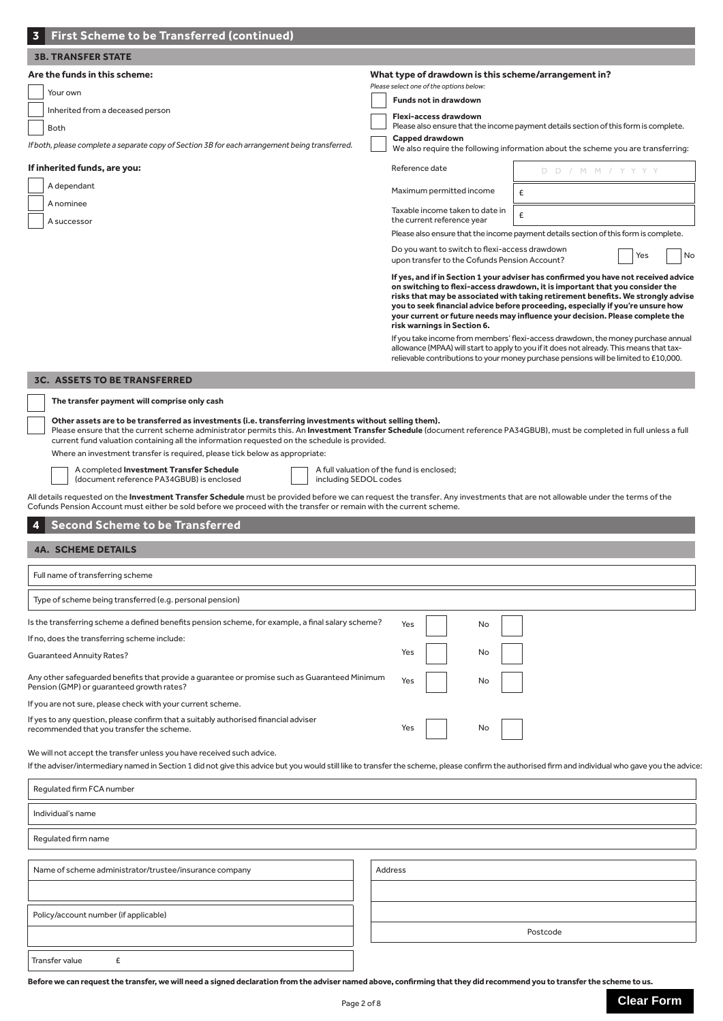| <b>First Scheme to be Transferred (continued)</b>                                                                                                                                                                                                                                                                                                                                                                                                                                                                                                         |                                                                                                                                                                                                                                                                                                                                                                                                                              |                                                                                                                                                                                                                                                                                                                                                                                                                                                                                                                                                                                                                                                                                                                                                                                                                                    |
|-----------------------------------------------------------------------------------------------------------------------------------------------------------------------------------------------------------------------------------------------------------------------------------------------------------------------------------------------------------------------------------------------------------------------------------------------------------------------------------------------------------------------------------------------------------|------------------------------------------------------------------------------------------------------------------------------------------------------------------------------------------------------------------------------------------------------------------------------------------------------------------------------------------------------------------------------------------------------------------------------|------------------------------------------------------------------------------------------------------------------------------------------------------------------------------------------------------------------------------------------------------------------------------------------------------------------------------------------------------------------------------------------------------------------------------------------------------------------------------------------------------------------------------------------------------------------------------------------------------------------------------------------------------------------------------------------------------------------------------------------------------------------------------------------------------------------------------------|
| <b>3B. TRANSFER STATE</b>                                                                                                                                                                                                                                                                                                                                                                                                                                                                                                                                 |                                                                                                                                                                                                                                                                                                                                                                                                                              |                                                                                                                                                                                                                                                                                                                                                                                                                                                                                                                                                                                                                                                                                                                                                                                                                                    |
| Are the funds in this scheme:<br>Your own<br>Inherited from a deceased person<br><b>Both</b><br>If both, please complete a separate copy of Section 3B for each arrangement being transferred.<br>If inherited funds, are you:<br>A dependant<br>A nominee<br>A successor                                                                                                                                                                                                                                                                                 | What type of drawdown is this scheme/arrangement in?<br>Please select one of the options below:<br><b>Funds not in drawdown</b><br>Flexi-access drawdown<br>Capped drawdown<br>Reference date<br>Maximum permitted income<br>Taxable income taken to date in<br>the current reference year<br>Do you want to switch to flexi-access drawdown<br>upon transfer to the Cofunds Pension Account?<br>risk warnings in Section 6. | Please also ensure that the income payment details section of this form is complete.<br>We also require the following information about the scheme you are transferring:<br>D D / M M / Y Y Y Y<br>£<br>£<br>Please also ensure that the income payment details section of this form is complete.<br>Yes<br>No<br>If yes, and if in Section 1 your adviser has confirmed you have not received advice<br>on switching to flexi-access drawdown, it is important that you consider the<br>risks that may be associated with taking retirement benefits. We strongly advise<br>you to seek financial advice before proceeding, especially if you're unsure how<br>your current or future needs may influence your decision. Please complete the<br>If you take income from members' flexi-access drawdown, the money purchase annual |
|                                                                                                                                                                                                                                                                                                                                                                                                                                                                                                                                                           |                                                                                                                                                                                                                                                                                                                                                                                                                              | allowance (MPAA) will start to apply to you if it does not already. This means that tax-<br>relievable contributions to your money purchase pensions will be limited to £10,000.                                                                                                                                                                                                                                                                                                                                                                                                                                                                                                                                                                                                                                                   |
| <b>3C. ASSETS TO BE TRANSFERRED</b><br>The transfer payment will comprise only cash<br>Other assets are to be transferred as investments (i.e. transferring investments without selling them).<br>Please ensure that the current scheme administrator permits this. An Investment Transfer Schedule (document reference PA34GBUB), must be completed in full unless a full<br>current fund valuation containing all the information requested on the schedule is provided.<br>Where an investment transfer is required, please tick below as appropriate: |                                                                                                                                                                                                                                                                                                                                                                                                                              |                                                                                                                                                                                                                                                                                                                                                                                                                                                                                                                                                                                                                                                                                                                                                                                                                                    |
| A completed Investment Transfer Schedule<br>(document reference PA34GBUB) is enclosed<br>including SEDOL codes                                                                                                                                                                                                                                                                                                                                                                                                                                            | A full valuation of the fund is enclosed;                                                                                                                                                                                                                                                                                                                                                                                    |                                                                                                                                                                                                                                                                                                                                                                                                                                                                                                                                                                                                                                                                                                                                                                                                                                    |
| All details requested on the <b>Investment Transfer Schedule</b> must be provided before we can request the transfer. Any investments that are not allowable under the terms of the                                                                                                                                                                                                                                                                                                                                                                       |                                                                                                                                                                                                                                                                                                                                                                                                                              |                                                                                                                                                                                                                                                                                                                                                                                                                                                                                                                                                                                                                                                                                                                                                                                                                                    |
| Cofunds Pension Account must either be sold before we proceed with the transfer or remain with the current scheme.                                                                                                                                                                                                                                                                                                                                                                                                                                        |                                                                                                                                                                                                                                                                                                                                                                                                                              |                                                                                                                                                                                                                                                                                                                                                                                                                                                                                                                                                                                                                                                                                                                                                                                                                                    |
| <b>Second Scheme to be Transferred</b>                                                                                                                                                                                                                                                                                                                                                                                                                                                                                                                    |                                                                                                                                                                                                                                                                                                                                                                                                                              |                                                                                                                                                                                                                                                                                                                                                                                                                                                                                                                                                                                                                                                                                                                                                                                                                                    |
| <b>4A. SCHEME DETAILS</b>                                                                                                                                                                                                                                                                                                                                                                                                                                                                                                                                 |                                                                                                                                                                                                                                                                                                                                                                                                                              |                                                                                                                                                                                                                                                                                                                                                                                                                                                                                                                                                                                                                                                                                                                                                                                                                                    |
| Full name of transferring scheme                                                                                                                                                                                                                                                                                                                                                                                                                                                                                                                          |                                                                                                                                                                                                                                                                                                                                                                                                                              |                                                                                                                                                                                                                                                                                                                                                                                                                                                                                                                                                                                                                                                                                                                                                                                                                                    |
|                                                                                                                                                                                                                                                                                                                                                                                                                                                                                                                                                           |                                                                                                                                                                                                                                                                                                                                                                                                                              |                                                                                                                                                                                                                                                                                                                                                                                                                                                                                                                                                                                                                                                                                                                                                                                                                                    |
| Type of scheme being transferred (e.g. personal pension)                                                                                                                                                                                                                                                                                                                                                                                                                                                                                                  |                                                                                                                                                                                                                                                                                                                                                                                                                              |                                                                                                                                                                                                                                                                                                                                                                                                                                                                                                                                                                                                                                                                                                                                                                                                                                    |
| Is the transferring scheme a defined benefits pension scheme, for example, a final salary scheme?                                                                                                                                                                                                                                                                                                                                                                                                                                                         | Yes<br>No                                                                                                                                                                                                                                                                                                                                                                                                                    |                                                                                                                                                                                                                                                                                                                                                                                                                                                                                                                                                                                                                                                                                                                                                                                                                                    |
| If no, does the transferring scheme include:<br><b>Guaranteed Annuity Rates?</b>                                                                                                                                                                                                                                                                                                                                                                                                                                                                          | Yes<br>No                                                                                                                                                                                                                                                                                                                                                                                                                    |                                                                                                                                                                                                                                                                                                                                                                                                                                                                                                                                                                                                                                                                                                                                                                                                                                    |
| Any other safeguarded benefits that provide a guarantee or promise such as Guaranteed Minimum<br>Pension (GMP) or quaranteed growth rates?                                                                                                                                                                                                                                                                                                                                                                                                                | Yes<br>No                                                                                                                                                                                                                                                                                                                                                                                                                    |                                                                                                                                                                                                                                                                                                                                                                                                                                                                                                                                                                                                                                                                                                                                                                                                                                    |
| If you are not sure, please check with your current scheme.                                                                                                                                                                                                                                                                                                                                                                                                                                                                                               |                                                                                                                                                                                                                                                                                                                                                                                                                              |                                                                                                                                                                                                                                                                                                                                                                                                                                                                                                                                                                                                                                                                                                                                                                                                                                    |
| If yes to any question, please confirm that a suitably authorised financial adviser<br>recommended that you transfer the scheme.                                                                                                                                                                                                                                                                                                                                                                                                                          | Yes<br>No                                                                                                                                                                                                                                                                                                                                                                                                                    |                                                                                                                                                                                                                                                                                                                                                                                                                                                                                                                                                                                                                                                                                                                                                                                                                                    |
| We will not accept the transfer unless you have received such advice.<br>If the adviser/intermediary named in Section 1 did not give this advice but you would still like to transfer the scheme, please confirm the authorised firm and individual who gave you the advice                                                                                                                                                                                                                                                                               |                                                                                                                                                                                                                                                                                                                                                                                                                              |                                                                                                                                                                                                                                                                                                                                                                                                                                                                                                                                                                                                                                                                                                                                                                                                                                    |
| Regulated firm FCA number                                                                                                                                                                                                                                                                                                                                                                                                                                                                                                                                 |                                                                                                                                                                                                                                                                                                                                                                                                                              |                                                                                                                                                                                                                                                                                                                                                                                                                                                                                                                                                                                                                                                                                                                                                                                                                                    |
| Individual's name                                                                                                                                                                                                                                                                                                                                                                                                                                                                                                                                         |                                                                                                                                                                                                                                                                                                                                                                                                                              |                                                                                                                                                                                                                                                                                                                                                                                                                                                                                                                                                                                                                                                                                                                                                                                                                                    |
| Regulated firm name                                                                                                                                                                                                                                                                                                                                                                                                                                                                                                                                       |                                                                                                                                                                                                                                                                                                                                                                                                                              |                                                                                                                                                                                                                                                                                                                                                                                                                                                                                                                                                                                                                                                                                                                                                                                                                                    |
| Name of scheme administrator/trustee/insurance company                                                                                                                                                                                                                                                                                                                                                                                                                                                                                                    | Address                                                                                                                                                                                                                                                                                                                                                                                                                      |                                                                                                                                                                                                                                                                                                                                                                                                                                                                                                                                                                                                                                                                                                                                                                                                                                    |
| Policy/account number (if applicable)                                                                                                                                                                                                                                                                                                                                                                                                                                                                                                                     |                                                                                                                                                                                                                                                                                                                                                                                                                              |                                                                                                                                                                                                                                                                                                                                                                                                                                                                                                                                                                                                                                                                                                                                                                                                                                    |
|                                                                                                                                                                                                                                                                                                                                                                                                                                                                                                                                                           |                                                                                                                                                                                                                                                                                                                                                                                                                              | Postcode                                                                                                                                                                                                                                                                                                                                                                                                                                                                                                                                                                                                                                                                                                                                                                                                                           |
| £<br>Transfer value                                                                                                                                                                                                                                                                                                                                                                                                                                                                                                                                       |                                                                                                                                                                                                                                                                                                                                                                                                                              |                                                                                                                                                                                                                                                                                                                                                                                                                                                                                                                                                                                                                                                                                                                                                                                                                                    |

**Before we can request the transfer, we will need a signed declaration from the adviser named above, confirming that they did recommend you to transfer the scheme to us.**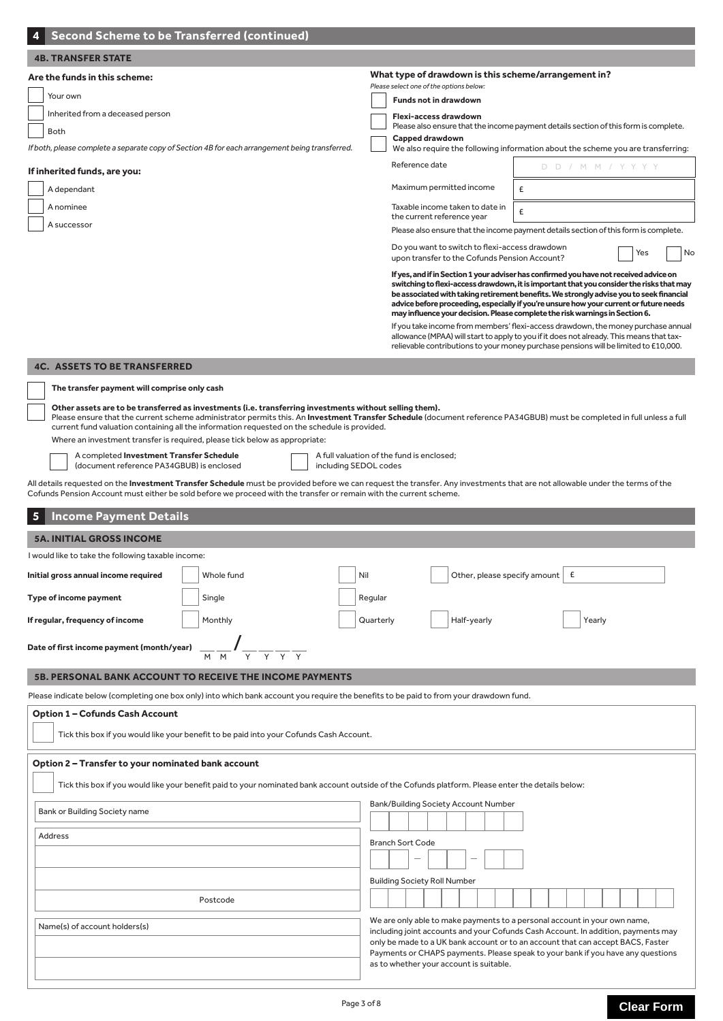| <b>Second Scheme to be Transferred (continued)</b>                                                                                                                                                                                                                                                                                                                                                                                                                                                                                                                                                                                                                                                                                                                                                                                                                                                                                                                                                                            |                                                                                                                                                                                                                                                                                                                                                                                                                                                                                                                                                                                                                                                                                                                                                                                                                                                                                                                                                                                                                                                                                                                                                                                                                                                                                                                                                                                                                                                     |  |  |  |  |
|-------------------------------------------------------------------------------------------------------------------------------------------------------------------------------------------------------------------------------------------------------------------------------------------------------------------------------------------------------------------------------------------------------------------------------------------------------------------------------------------------------------------------------------------------------------------------------------------------------------------------------------------------------------------------------------------------------------------------------------------------------------------------------------------------------------------------------------------------------------------------------------------------------------------------------------------------------------------------------------------------------------------------------|-----------------------------------------------------------------------------------------------------------------------------------------------------------------------------------------------------------------------------------------------------------------------------------------------------------------------------------------------------------------------------------------------------------------------------------------------------------------------------------------------------------------------------------------------------------------------------------------------------------------------------------------------------------------------------------------------------------------------------------------------------------------------------------------------------------------------------------------------------------------------------------------------------------------------------------------------------------------------------------------------------------------------------------------------------------------------------------------------------------------------------------------------------------------------------------------------------------------------------------------------------------------------------------------------------------------------------------------------------------------------------------------------------------------------------------------------------|--|--|--|--|
| <b>4B. TRANSFER STATE</b>                                                                                                                                                                                                                                                                                                                                                                                                                                                                                                                                                                                                                                                                                                                                                                                                                                                                                                                                                                                                     |                                                                                                                                                                                                                                                                                                                                                                                                                                                                                                                                                                                                                                                                                                                                                                                                                                                                                                                                                                                                                                                                                                                                                                                                                                                                                                                                                                                                                                                     |  |  |  |  |
| Are the funds in this scheme:<br>Your own<br>Inherited from a deceased person<br><b>Both</b><br>If both, please complete a separate copy of Section 4B for each arrangement being transferred.<br>If inherited funds, are you:<br>A dependant<br>A nominee<br>A successor                                                                                                                                                                                                                                                                                                                                                                                                                                                                                                                                                                                                                                                                                                                                                     | What type of drawdown is this scheme/arrangement in?<br>Please select one of the options below:<br><b>Funds not in drawdown</b><br>Flexi-access drawdown<br>Please also ensure that the income payment details section of this form is complete.<br>Capped drawdown<br>We also require the following information about the scheme you are transferring:<br>Reference date<br>D D / M M / Y Y Y Y<br>Maximum permitted income<br>£<br>Taxable income taken to date in<br>£<br>the current reference year<br>Please also ensure that the income payment details section of this form is complete.<br>Do you want to switch to flexi-access drawdown<br>Yes<br>No<br>upon transfer to the Cofunds Pension Account?<br>If yes, and if in Section 1 your adviser has confirmed you have not received advice on<br>switching to flexi-access drawdown, it is important that you consider the risks that may<br>be associated with taking retirement benefits. We strongly advise you to seek financial<br>advice before proceeding, especially if you're unsure how your current or future needs<br>may influence your decision. Please complete the risk warnings in Section 6.<br>If you take income from members' flexi-access drawdown, the money purchase annual<br>allowance (MPAA) will start to apply to you if it does not already. This means that tax-<br>relievable contributions to your money purchase pensions will be limited to £10,000. |  |  |  |  |
| <b>4C. ASSETS TO BE TRANSFERRED</b><br>The transfer payment will comprise only cash<br>Other assets are to be transferred as investments (i.e. transferring investments without selling them).<br>Please ensure that the current scheme administrator permits this. An Investment Transfer Schedule (document reference PA34GBUB) must be completed in full unless a full<br>current fund valuation containing all the information requested on the schedule is provided.<br>Where an investment transfer is required, please tick below as appropriate:<br>A completed Investment Transfer Schedule<br>A full valuation of the fund is enclosed;<br>(document reference PA34GBUB) is enclosed<br>including SEDOL codes<br>All details requested on the Investment Transfer Schedule must be provided before we can request the transfer. Any investments that are not allowable under the terms of the<br>Cofunds Pension Account must either be sold before we proceed with the transfer or remain with the current scheme. |                                                                                                                                                                                                                                                                                                                                                                                                                                                                                                                                                                                                                                                                                                                                                                                                                                                                                                                                                                                                                                                                                                                                                                                                                                                                                                                                                                                                                                                     |  |  |  |  |
| <b>Income Payment Details</b><br>5                                                                                                                                                                                                                                                                                                                                                                                                                                                                                                                                                                                                                                                                                                                                                                                                                                                                                                                                                                                            |                                                                                                                                                                                                                                                                                                                                                                                                                                                                                                                                                                                                                                                                                                                                                                                                                                                                                                                                                                                                                                                                                                                                                                                                                                                                                                                                                                                                                                                     |  |  |  |  |
| <b>5A. INITIAL GROSS INCOME</b>                                                                                                                                                                                                                                                                                                                                                                                                                                                                                                                                                                                                                                                                                                                                                                                                                                                                                                                                                                                               |                                                                                                                                                                                                                                                                                                                                                                                                                                                                                                                                                                                                                                                                                                                                                                                                                                                                                                                                                                                                                                                                                                                                                                                                                                                                                                                                                                                                                                                     |  |  |  |  |
| I would like to take the following taxable income:                                                                                                                                                                                                                                                                                                                                                                                                                                                                                                                                                                                                                                                                                                                                                                                                                                                                                                                                                                            |                                                                                                                                                                                                                                                                                                                                                                                                                                                                                                                                                                                                                                                                                                                                                                                                                                                                                                                                                                                                                                                                                                                                                                                                                                                                                                                                                                                                                                                     |  |  |  |  |
| Whole fund<br>Initial gross annual income required                                                                                                                                                                                                                                                                                                                                                                                                                                                                                                                                                                                                                                                                                                                                                                                                                                                                                                                                                                            | Other, please specify amount $\left  \right.$ $\epsilon$<br>Nil                                                                                                                                                                                                                                                                                                                                                                                                                                                                                                                                                                                                                                                                                                                                                                                                                                                                                                                                                                                                                                                                                                                                                                                                                                                                                                                                                                                     |  |  |  |  |
| Type of income payment<br>Single                                                                                                                                                                                                                                                                                                                                                                                                                                                                                                                                                                                                                                                                                                                                                                                                                                                                                                                                                                                              | Regular                                                                                                                                                                                                                                                                                                                                                                                                                                                                                                                                                                                                                                                                                                                                                                                                                                                                                                                                                                                                                                                                                                                                                                                                                                                                                                                                                                                                                                             |  |  |  |  |
|                                                                                                                                                                                                                                                                                                                                                                                                                                                                                                                                                                                                                                                                                                                                                                                                                                                                                                                                                                                                                               |                                                                                                                                                                                                                                                                                                                                                                                                                                                                                                                                                                                                                                                                                                                                                                                                                                                                                                                                                                                                                                                                                                                                                                                                                                                                                                                                                                                                                                                     |  |  |  |  |
| Monthly<br>If regular, frequency of income<br>Date of first income payment (month/year)                                                                                                                                                                                                                                                                                                                                                                                                                                                                                                                                                                                                                                                                                                                                                                                                                                                                                                                                       | Quarterly<br>Half-yearly<br>Yearly                                                                                                                                                                                                                                                                                                                                                                                                                                                                                                                                                                                                                                                                                                                                                                                                                                                                                                                                                                                                                                                                                                                                                                                                                                                                                                                                                                                                                  |  |  |  |  |
| 5B. PERSONAL BANK ACCOUNT TO RECEIVE THE INCOME PAYMENTS                                                                                                                                                                                                                                                                                                                                                                                                                                                                                                                                                                                                                                                                                                                                                                                                                                                                                                                                                                      |                                                                                                                                                                                                                                                                                                                                                                                                                                                                                                                                                                                                                                                                                                                                                                                                                                                                                                                                                                                                                                                                                                                                                                                                                                                                                                                                                                                                                                                     |  |  |  |  |
| Please indicate below (completing one box only) into which bank account you require the benefits to be paid to from your drawdown fund.<br><b>Option 1 - Cofunds Cash Account</b>                                                                                                                                                                                                                                                                                                                                                                                                                                                                                                                                                                                                                                                                                                                                                                                                                                             |                                                                                                                                                                                                                                                                                                                                                                                                                                                                                                                                                                                                                                                                                                                                                                                                                                                                                                                                                                                                                                                                                                                                                                                                                                                                                                                                                                                                                                                     |  |  |  |  |
| Tick this box if you would like your benefit to be paid into your Cofunds Cash Account.                                                                                                                                                                                                                                                                                                                                                                                                                                                                                                                                                                                                                                                                                                                                                                                                                                                                                                                                       |                                                                                                                                                                                                                                                                                                                                                                                                                                                                                                                                                                                                                                                                                                                                                                                                                                                                                                                                                                                                                                                                                                                                                                                                                                                                                                                                                                                                                                                     |  |  |  |  |
| Option 2 – Transfer to your nominated bank account<br>Tick this box if you would like your benefit paid to your nominated bank account outside of the Cofunds platform. Please enter the details below:                                                                                                                                                                                                                                                                                                                                                                                                                                                                                                                                                                                                                                                                                                                                                                                                                       |                                                                                                                                                                                                                                                                                                                                                                                                                                                                                                                                                                                                                                                                                                                                                                                                                                                                                                                                                                                                                                                                                                                                                                                                                                                                                                                                                                                                                                                     |  |  |  |  |
| Bank or Building Society name                                                                                                                                                                                                                                                                                                                                                                                                                                                                                                                                                                                                                                                                                                                                                                                                                                                                                                                                                                                                 | <b>Bank/Building Society Account Number</b>                                                                                                                                                                                                                                                                                                                                                                                                                                                                                                                                                                                                                                                                                                                                                                                                                                                                                                                                                                                                                                                                                                                                                                                                                                                                                                                                                                                                         |  |  |  |  |
| Address<br>Postcode                                                                                                                                                                                                                                                                                                                                                                                                                                                                                                                                                                                                                                                                                                                                                                                                                                                                                                                                                                                                           | <b>Branch Sort Code</b><br><b>Building Society Roll Number</b><br>We are only able to make payments to a personal account in your own name,                                                                                                                                                                                                                                                                                                                                                                                                                                                                                                                                                                                                                                                                                                                                                                                                                                                                                                                                                                                                                                                                                                                                                                                                                                                                                                         |  |  |  |  |
| Name(s) of account holders(s)                                                                                                                                                                                                                                                                                                                                                                                                                                                                                                                                                                                                                                                                                                                                                                                                                                                                                                                                                                                                 | including joint accounts and your Cofunds Cash Account. In addition, payments may<br>only be made to a UK bank account or to an account that can accept BACS, Faster<br>Payments or CHAPS payments. Please speak to your bank if you have any questions<br>as to whether your account is suitable.                                                                                                                                                                                                                                                                                                                                                                                                                                                                                                                                                                                                                                                                                                                                                                                                                                                                                                                                                                                                                                                                                                                                                  |  |  |  |  |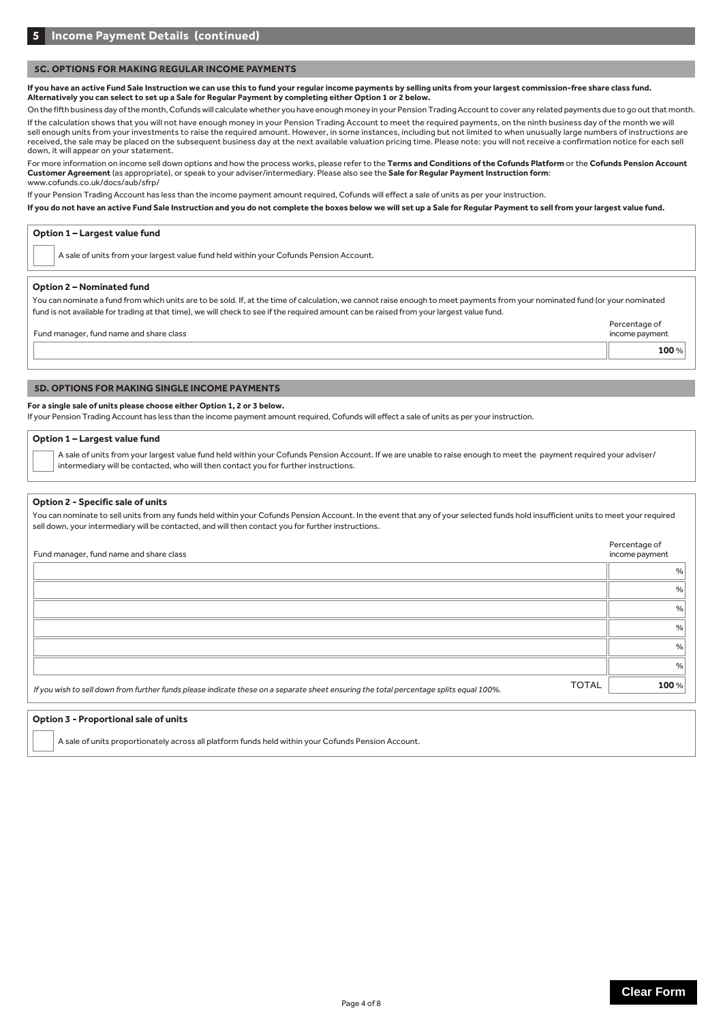## **5C. OPTIONS FOR MAKING REGULAR INCOME PAYMENTS**

**If you have an active Fund Sale Instruction we can use this to fund your regular income payments by selling units from your largest commission-free share class fund. Alternatively you can select to set up a Sale for Regular Payment by completing either Option 1 or 2 below.**

On the fifth business day of the month, Cofunds will calculate whether you have enough money in your Pension Trading Account to cover any related payments due to go out that month.

If the calculation shows that you will not have enough money in your Pension Trading Account to meet the required payments, on the ninth business day of the month we will sell enough units from your investments to raise the required amount. However, in some instances, including but not limited to when unusually large numbers of instructions are received, the sale may be placed on the subsequent business day at the next available valuation pricing time. Please note: you will not receive a confirmation notice for each sell down, it will appear on your statement.

For more information on income sell down options and how the process works, please refer to the **Terms and Conditions of the Cofunds Platform** or the **Cofunds Pension Account Customer Agreement** (as appropriate), or speak to your adviser/intermediary. Please also see the **Sale for Regular Payment Instruction form**: www.cofunds.co.uk/docs/aub/sfrp/

If your Pension Trading Account has less than the income payment amount required, Cofunds will effect a sale of units as per your instruction.

**If you do not have an active Fund Sale Instruction and you do not complete the boxes below we will set up a Sale for Regular Payment to sell from your largest value fund.**

| Option 1 - Largest value fund                                                                                                                                                                                                                                                                                            |                |
|--------------------------------------------------------------------------------------------------------------------------------------------------------------------------------------------------------------------------------------------------------------------------------------------------------------------------|----------------|
| A sale of units from your largest value fund held within your Cofunds Pension Account.                                                                                                                                                                                                                                   |                |
| <b>Option 2 - Nominated fund</b>                                                                                                                                                                                                                                                                                         |                |
| You can nominate a fund from which units are to be sold. If, at the time of calculation, we cannot raise enough to meet payments from your nominated fund (or your nominated<br>fund is not available for trading at that time), we will check to see if the required amount can be raised from your largest value fund. |                |
|                                                                                                                                                                                                                                                                                                                          | Percentage of  |
| Fund manager, fund name and share class                                                                                                                                                                                                                                                                                  | income payment |
|                                                                                                                                                                                                                                                                                                                          | 100%           |
|                                                                                                                                                                                                                                                                                                                          |                |
| <b>5D. OPTIONS FOR MAKING SINGLE INCOME PAYMENTS</b>                                                                                                                                                                                                                                                                     |                |

#### **For a single sale of units please choose either Option 1, 2 or 3 below.**

If your Pension Trading Account has less than the income payment amount required, Cofunds will effect a sale of units as per your instruction.

#### **Option 1 – Largest value fund**

A sale of units from your largest value fund held within your Cofunds Pension Account. If we are unable to raise enough to meet the payment required your adviser/ intermediary will be contacted, who will then contact you for further instructions.

#### **Option 2 - Specific sale of units**

You can nominate to sell units from any funds held within your Cofunds Pension Account. In the event that any of your selected funds hold insufficient units to meet your required sell down, your intermediary will be contacted, and will then contact you for further instructions.

| income payment |
|----------------|
| %              |
| %              |
| %              |
| %              |
| %              |
| %              |
| 100%           |
|                |

#### **Option 3 - Proportional sale of units**

A sale of units proportionately across all platform funds held within your Cofunds Pension Account.

Percentage of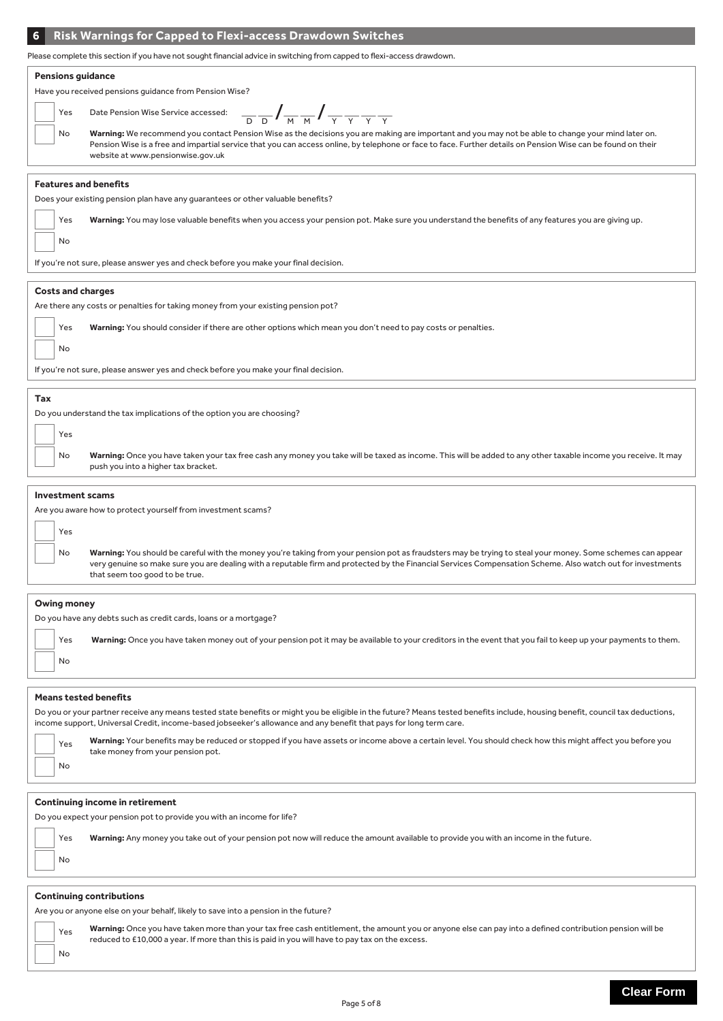### **6 Risk Warnings for Capped to Flexi-access Drawdown Switches**

Please complete this section if you have not sought financial advice in switching from capped to flexi-access drawdown.

#### **Pensions guidance**

Have you received pensions guidance from Pension Wise?

| Yes | Date Pension V                    |
|-----|-----------------------------------|
| No  | Warning: We re<br>Pension Wise is |
|     | website at www                    |

| GIGGILG TIONITI CHOICH WISC. |  |   |  |  |  |
|------------------------------|--|---|--|--|--|
| Vise Service accessed:       |  |   |  |  |  |
|                              |  | м |  |  |  |

Warning: We recommend you contact Pension Wise as the decisions you are making are important and you may not be able to change your mind later on. Pension Wise is a free and impartial service that you can access online, by telephone or face to face. Further details on Pension Wise can be found on their website at www.pensionwise.gov.uk

#### **Features and benefits**

Does your existing pension plan have any guarantees or other valuable benefits?

Yes Warning: You may lose valuable benefits when you access your pension pot. Make sure you understand the benefits of any features you are giving up.

If you're not sure, please answer yes and check before you make your final decision.

#### **Costs and charges**

No

No

Are there any costs or penalties for taking money from your existing pension pot?

| Yes<br>Warning: You should consider if there are other options which mean you don't need to pay costs or penalties. |
|---------------------------------------------------------------------------------------------------------------------|
|---------------------------------------------------------------------------------------------------------------------|

If you're not sure, please answer yes and check before you make your final decision.

#### **Tax**

Do you understand the tax implications of the option you are choosing?

| I |
|---|
|   |

No Warning: Once you have taken your tax free cash any money you take will be taxed as income. This will be added to any other taxable income you receive. It may push you into a higher tax bracket.

#### **Investment scams**

Yes

Are you aware how to protect yourself from investment scams?

No **Warning:** You should be careful with the money you're taking from your pension pot as fraudsters may be trying to steal your money. Some schemes can appear very genuine so make sure you are dealing with a reputable firm and protected by the Financial Services Compensation Scheme. Also watch out for investments that seem too good to be true.

#### **Owing money**

No

Do you have any debts such as credit cards, loans or a mortgage?

Yes Warning: Once you have taken money out of your pension pot it may be available to your creditors in the event that you fail to keep up your payments to them.

#### **Means tested benefits**

|           | Do you or your partner receive any means tested state benefits or might you be eligible in the future? Means tested benefits include, housing benefit, council tax deductions,<br>income support, Universal Credit, income-based jobseeker's allowance and any benefit that pays for long term care. |
|-----------|------------------------------------------------------------------------------------------------------------------------------------------------------------------------------------------------------------------------------------------------------------------------------------------------------|
| Yes<br>No | Warning: Your benefits may be reduced or stopped if you have assets or income above a certain level. You should check how this might affect you before you<br>take money from your pension pot.                                                                                                      |
|           |                                                                                                                                                                                                                                                                                                      |
|           | Continuing income in retirement                                                                                                                                                                                                                                                                      |
|           | Do you expect your pension pot to provide you with an income for life?                                                                                                                                                                                                                               |
| Yes<br>No | Warning: Any money you take out of your pension pot now will reduce the amount available to provide you with an income in the future.                                                                                                                                                                |
|           |                                                                                                                                                                                                                                                                                                      |
|           |                                                                                                                                                                                                                                                                                                      |
|           | Continuing contributions                                                                                                                                                                                                                                                                             |

Are you or anyone else on your behalf, likely to save into a pension in the future?

<sub>es</sub> Warning: Once you have taken more than your tax free cash entitlement, the amount you or anyone else can pay into a defined contribution pension will be reduced to £10,000 a year. If more than this is paid in you will have to pay tax on the excess.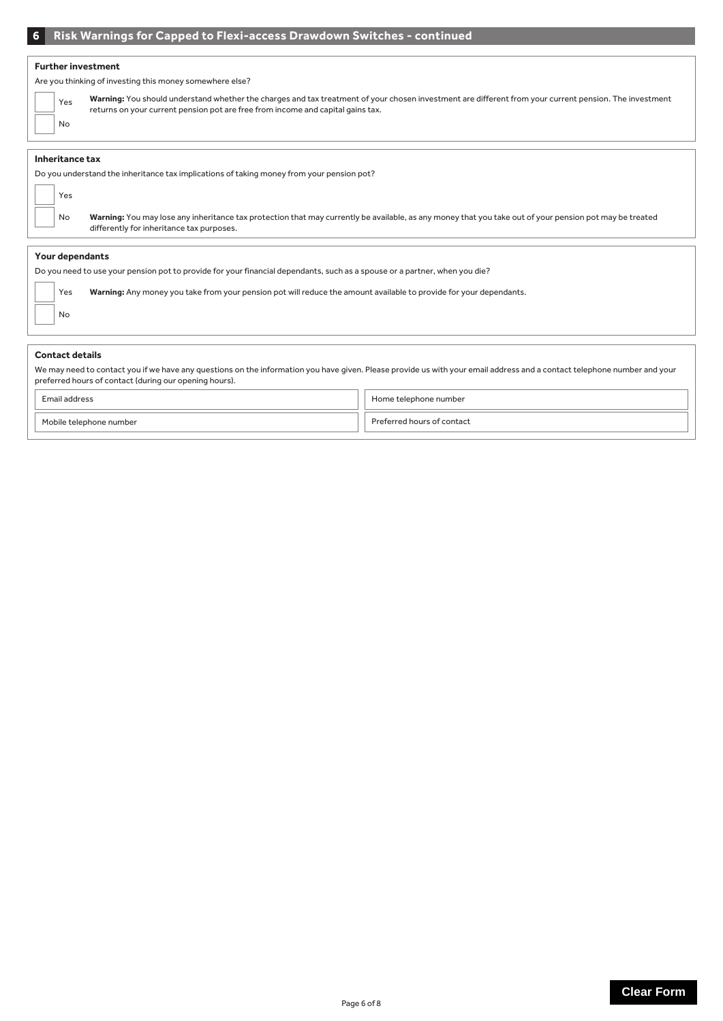# **6 Risk Warnings for Capped to Flexi-access Drawdown Switches - continued**

#### **Further investment**

Are you thinking of investing this money somewhere else?

|                                                                                                                            | Yes | Warning: You should understand whether the charges and tax treatment of your chosen investment are different from your current pension. The investment<br>returns on your current pension pot are free from income and capital gains tax. |  |  |
|----------------------------------------------------------------------------------------------------------------------------|-----|-------------------------------------------------------------------------------------------------------------------------------------------------------------------------------------------------------------------------------------------|--|--|
|                                                                                                                            | No. |                                                                                                                                                                                                                                           |  |  |
|                                                                                                                            |     |                                                                                                                                                                                                                                           |  |  |
| Inheritance tax                                                                                                            |     |                                                                                                                                                                                                                                           |  |  |
| Do you understand the inheritance tax implications of taking money from your pension pot?                                  |     |                                                                                                                                                                                                                                           |  |  |
|                                                                                                                            | Yes |                                                                                                                                                                                                                                           |  |  |
|                                                                                                                            | No. | Warning: You may lose any inheritance tax protection that may currently be available, as any money that you take out of your pension pot may be treated<br>differently for inheritance tax purposes.                                      |  |  |
|                                                                                                                            |     |                                                                                                                                                                                                                                           |  |  |
| Your dependants                                                                                                            |     |                                                                                                                                                                                                                                           |  |  |
| Do you need to use your pension pot to provide for your financial dependants, such as a spouse or a partner, when you die? |     |                                                                                                                                                                                                                                           |  |  |
|                                                                                                                            | Yes | Warning: Any money you take from your pension pot will reduce the amount available to provide for your dependants.                                                                                                                        |  |  |
|                                                                                                                            | No  |                                                                                                                                                                                                                                           |  |  |

#### **Contact details**

We may need to contact you if we have any questions on the information you have given. Please provide us with your email address and a contact telephone number and your preferred hours of contact (during our opening hours).

| roce                    | Home telephone number |
|-------------------------|-----------------------|
| Mobile telephone number | l hours of contact    |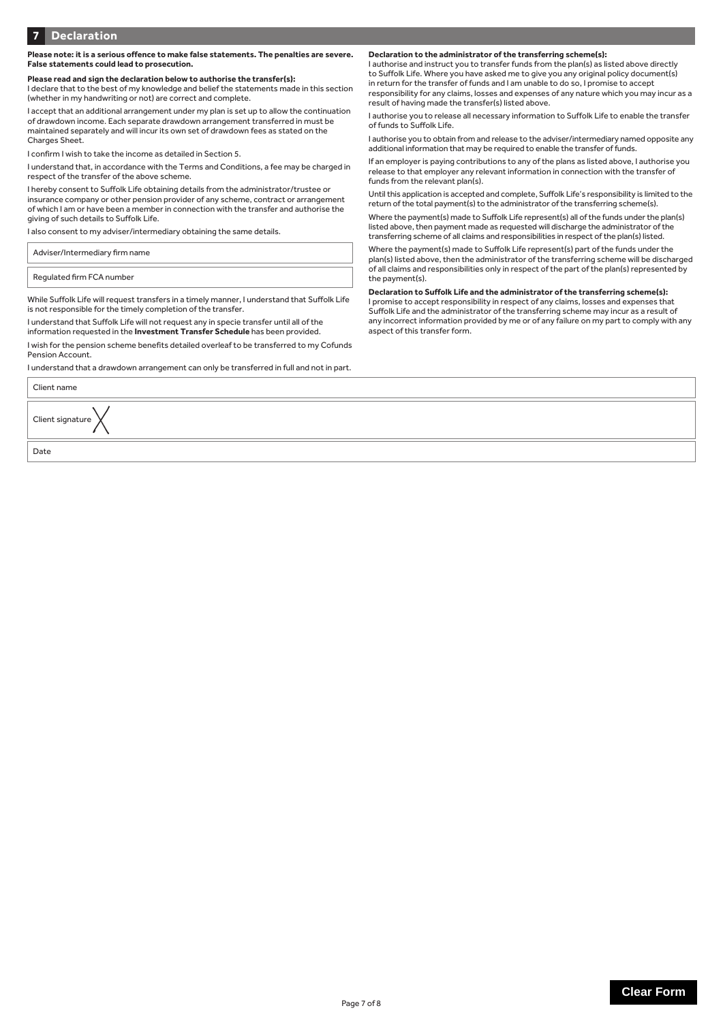#### **Please note: it is a serious offence to make false statements. The penalties are severe. False statements could lead to prosecution.**

**Please read and sign the declaration below to authorise the transfer(s):** I declare that to the best of my knowledge and belief the statements made in this section (whether in my handwriting or not) are correct and complete.

I accept that an additional arrangement under my plan is set up to allow the continuation of drawdown income. Each separate drawdown arrangement transferred in must be maintained separately and will incur its own set of drawdown fees as stated on the Charges Sheet.

I confirm I wish to take the income as detailed in Section 5.

I understand that, in accordance with the Terms and Conditions, a fee may be charged in respect of the transfer of the above scheme.

I hereby consent to Suffolk Life obtaining details from the administrator/trustee or insurance company or other pension provider of any scheme, contract or arrangement of which I am or have been a member in connection with the transfer and authorise the giving of such details to Suffolk Life.

I also consent to my adviser/intermediary obtaining the same details.

Adviser/Intermediary firm name

Regulated firm FCA number

While Suffolk Life will request transfers in a timely manner, I understand that Suffolk Life is not responsible for the timely completion of the transfer.

I understand that Suffolk Life will not request any in specie transfer until all of the information requested in the **Investment Transfer Schedule** has been provided.

I wish for the pension scheme benefits detailed overleaf to be transferred to my Cofunds Pension Account.

I understand that a drawdown arrangement can only be transferred in full and not in part.

Client name

Date

Client signature

**Declaration to the administrator of the transferring scheme(s):**

I authorise and instruct you to transfer funds from the plan(s) as listed above directly to Suffolk Life. Where you have asked me to give you any original policy document(s) in return for the transfer of funds and I am unable to do so, I promise to accept responsibility for any claims, losses and expenses of any nature which you may incur as a result of having made the transfer(s) listed above.

I authorise you to release all necessary information to Suffolk Life to enable the transfer of funds to Suffolk Life.

I authorise you to obtain from and release to the adviser/intermediary named opposite any additional information that may be required to enable the transfer of funds.

If an employer is paying contributions to any of the plans as listed above, I authorise you release to that employer any relevant information in connection with the transfer of funds from the relevant plan(s).

Until this application is accepted and complete, Suffolk Life's responsibility is limited to the return of the total payment(s) to the administrator of the transferring scheme(s).

Where the payment(s) made to Suffolk Life represent(s) all of the funds under the plan(s) listed above, then payment made as requested will discharge the administrator of the transferring scheme of all claims and responsibilities in respect of the plan(s) listed.

Where the payment(s) made to Suffolk Life represent(s) part of the funds under the plan(s) listed above, then the administrator of the transferring scheme will be discharged of all claims and responsibilities only in respect of the part of the plan(s) represented by the payment(s).

**Declaration to Suffolk Life and the administrator of the transferring scheme(s):** 

I promise to accept responsibility in respect of any claims, losses and expenses that Suffolk Life and the administrator of the transferring scheme may incur as a result of any incorrect information provided by me or of any failure on my part to comply with any aspect of this transfer form.